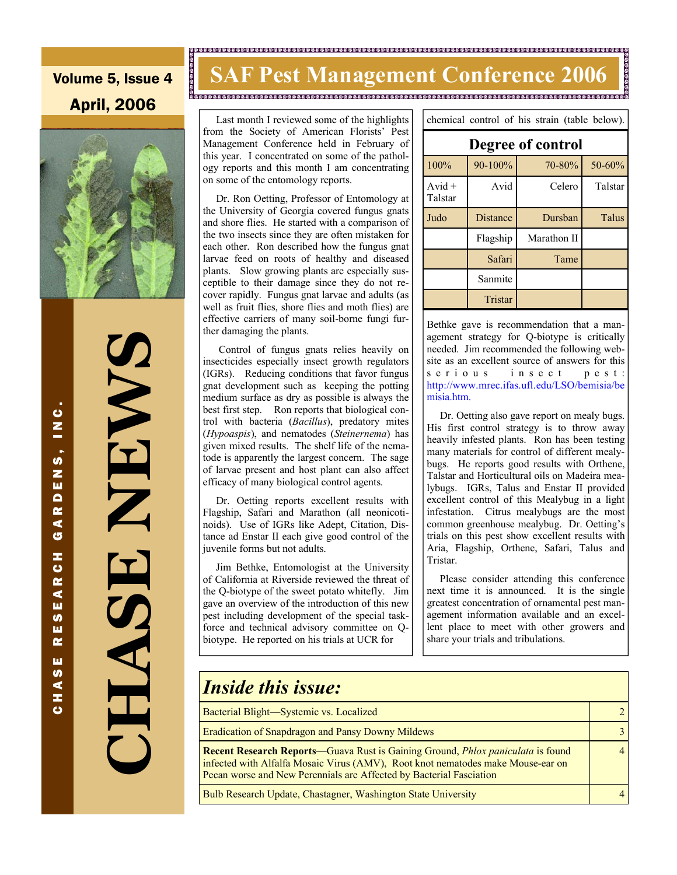### Volume 5, Issue 4 April, 2006



**CHASE NEWS**  NEWN **AS** 

#### **SAF Pest Management Conference 2006**

 Last month I reviewed some of the highlights from the Society of American Florists' Pest Management Conference held in February of this year. I concentrated on some of the pathology reports and this month I am concentrating on some of the entomology reports.

 Dr. Ron Oetting, Professor of Entomology at the University of Georgia covered fungus gnats and shore flies. He started with a comparison of the two insects since they are often mistaken for each other. Ron described how the fungus gnat larvae feed on roots of healthy and diseased plants. Slow growing plants are especially susceptible to their damage since they do not recover rapidly. Fungus gnat larvae and adults (as well as fruit flies, shore flies and moth flies) are effective carriers of many soil-borne fungi further damaging the plants.

 Control of fungus gnats relies heavily on insecticides especially insect growth regulators (IGRs). Reducing conditions that favor fungus gnat development such as keeping the potting medium surface as dry as possible is always the best first step. Ron reports that biological control with bacteria (*Bacillus*), predatory mites (*Hypoaspis*), and nematodes (*Steinernema*) has given mixed results. The shelf life of the nematode is apparently the largest concern. The sage of larvae present and host plant can also affect efficacy of many biological control agents.

 Dr. Oetting reports excellent results with Flagship, Safari and Marathon (all neonicotinoids). Use of IGRs like Adept, Citation, Distance ad Enstar II each give good control of the juvenile forms but not adults.

 Jim Bethke, Entomologist at the University of California at Riverside reviewed the threat of the Q-biotype of the sweet potato whitefly. Jim gave an overview of the introduction of this new pest including development of the special taskforce and technical advisory committee on Qbiotype. He reported on his trials at UCR for

| Degree of control   |          |             |         |  |  |  |
|---------------------|----------|-------------|---------|--|--|--|
| 100%                | 90-100%  | 70-80%      | 50-60%  |  |  |  |
| $Avid +$<br>Talstar | Avid     | Celero      | Talstar |  |  |  |
| Judo                | Distance | Dursban     | Talus   |  |  |  |
|                     | Flagship | Marathon II |         |  |  |  |
|                     | Safari   | Tame        |         |  |  |  |
|                     | Sanmite  |             |         |  |  |  |
|                     | Tristar  |             |         |  |  |  |

chemical control of his strain (table below).

Bethke gave is recommendation that a management strategy for Q-biotype is critically needed. Jim recommended the following website as an excellent source of answers for this s e r i o u s i n s e c t p e s t : http://www.mrec.ifas.ufl.edu/LSO/bemisia/be misia.htm.

 Dr. Oetting also gave report on mealy bugs. His first control strategy is to throw away heavily infested plants. Ron has been testing many materials for control of different mealybugs. He reports good results with Orthene, Talstar and Horticultural oils on Madeira mealybugs. IGRs, Talus and Enstar II provided excellent control of this Mealybug in a light infestation. Citrus mealybugs are the most common greenhouse mealybug. Dr. Oetting's trials on this pest show excellent results with Aria, Flagship, Orthene, Safari, Talus and Tristar.

 Please consider attending this conference next time it is announced. It is the single greatest concentration of ornamental pest management information available and an excellent place to meet with other growers and share your trials and tribulations.

4

### *Inside this issue:*

Bacterial Blight—Systemic vs. Localized 2

Eradication of Snapdragon and Pansy Downy Mildews 3

**Recent Research Reports**—Guava Rust is Gaining Ground, *Phlox paniculata* is found infected with Alfalfa Mosaic Virus (AMV), Root knot nematodes make Mouse-ear on Pecan worse and New Perennials are Affected by Bacterial Fasciation

Bulb Research Update, Chastagner, Washington State University 4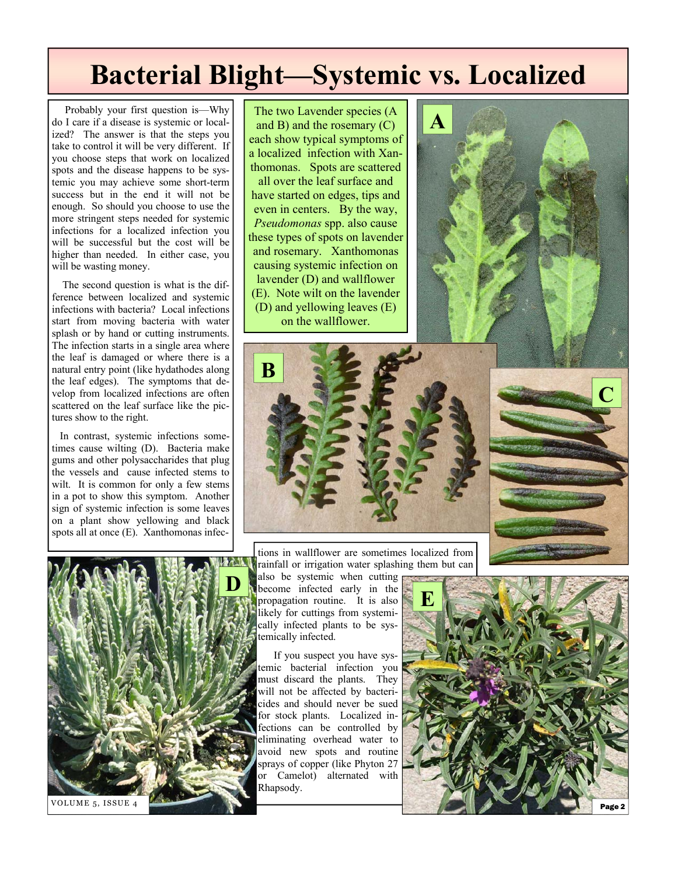# **Bacterial Blight—Systemic vs. Localized**

 Probably your first question is—Why do I care if a disease is systemic or localized? The answer is that the steps you take to control it will be very different. If you choose steps that work on localized spots and the disease happens to be systemic you may achieve some short-term success but in the end it will not be enough. So should you choose to use the more stringent steps needed for systemic infections for a localized infection you will be successful but the cost will be higher than needed. In either case, you will be wasting money.

 The second question is what is the difference between localized and systemic infections with bacteria? Local infections start from moving bacteria with water splash or by hand or cutting instruments. The infection starts in a single area where the leaf is damaged or where there is a natural entry point (like hydathodes along the leaf edges). The symptoms that develop from localized infections are often scattered on the leaf surface like the pictures show to the right.

 In contrast, systemic infections sometimes cause wilting (D). Bacteria make gums and other polysaccharides that plug the vessels and cause infected stems to wilt. It is common for only a few stems in a pot to show this symptom. Another sign of systemic infection is some leaves on a plant show yellowing and black spots all at once (E). Xanthomonas infec-

The two Lavender species (A and B) and the rosemary  $(C)$ each show typical symptoms of a localized infection with Xanthomonas. Spots are scattered all over the leaf surface and have started on edges, tips and even in centers. By the way, *Pseudomonas* spp. also cause these types of spots on lavender and rosemary. Xanthomonas causing systemic infection on lavender (D) and wallflower (E). Note wilt on the lavender (D) and yellowing leaves (E) on the wallflower.



**C**



tions in wallflower are sometimes localized from rainfall or irrigation water splashing them but can

also be systemic when cutting become infected early in the propagation routine. It is also likely for cuttings from systemically infected plants to be systemically infected.

 If you suspect you have systemic bacterial infection you must discard the plants. They will not be affected by bactericides and should never be sued for stock plants. Localized infections can be controlled by eliminating overhead water to avoid new spots and routine sprays of copper (like Phyton 27 or Camelot) alternated with Rhapsody.





VOLUME 5, ISSUE 4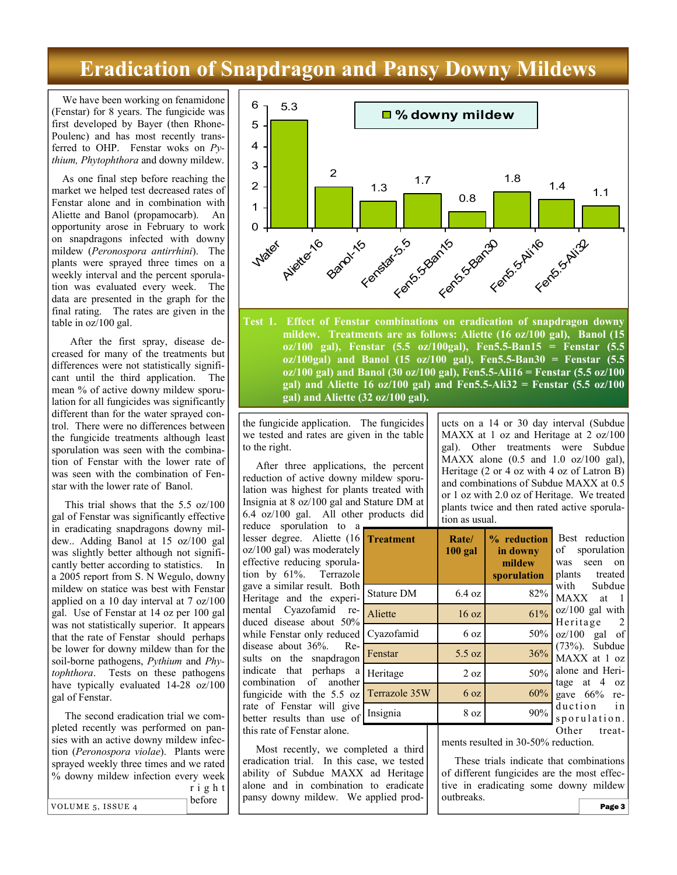### **Eradication of Snapdragon and Pansy Downy Mildews**

 We have been working on fenamidone (Fenstar) for 8 years. The fungicide was first developed by Bayer (then Rhone-Poulenc) and has most recently transferred to OHP. Fenstar woks on *Pythium, Phytophthora* and downy mildew.

 As one final step before reaching the market we helped test decreased rates of Fenstar alone and in combination with Aliette and Banol (propamocarb). An opportunity arose in February to work on snapdragons infected with downy mildew (*Peronospora antirrhini*). The plants were sprayed three times on a weekly interval and the percent sporulation was evaluated every week. The data are presented in the graph for the final rating. The rates are given in the table in oz/100 gal.

 After the first spray, disease decreased for many of the treatments but differences were not statistically significant until the third application. The mean % of active downy mildew sporulation for all fungicides was significantly different than for the water sprayed control. There were no differences between the fungicide treatments although least sporulation was seen with the combination of Fenstar with the lower rate of was seen with the combination of Fenstar with the lower rate of Banol.

 This trial shows that the 5.5 oz/100 gal of Fenstar was significantly effective in eradicating snapdragons downy mildew.. Adding Banol at 15 oz/100 gal was slightly better although not significantly better according to statistics. In a 2005 report from S. N Wegulo, downy mildew on statice was best with Fenstar applied on a 10 day interval at 7 oz/100 gal. Use of Fenstar at 14 oz per 100 gal was not statistically superior. It appears that the rate of Fenstar should perhaps be lower for downy mildew than for the soil-borne pathogens, *Pythium* and *Phytophthora*. Tests on these pathogens have typically evaluated 14-28 oz/100 gal of Fenstar.

 The second eradication trial we completed recently was performed on pansies with an active downy mildew infection (*Peronospora violae*). Plants were sprayed weekly three times and we rated % downy mildew infection every week r i g h t before VOLUME 5, ISSUE 4



**Test 1. Effect of Fenstar combinations on eradication of snapdragon downy mildew. Treatments are as follows: Aliette (16 oz/100 gal), Banol (15 oz/100 gal), Fenstar (5.5 oz/100gal), Fen5.5-Ban15 = Fenstar (5.5 oz/100gal) and Banol (15 oz/100 gal), Fen5.5-Ban30 = Fenstar (5.5 oz/100 gal) and Banol (30 oz/100 gal), Fen5.5-Ali16 = Fenstar (5.5 oz/100 gal) and Aliette 16 oz/100 gal) and Fen5.5-Ali32 = Fenstar (5.5 oz/100 gal) and Aliette (32 oz/100 gal).** 

the fungicide application. The fungicides we tested and rates are given in the table to the right.

 After three applications, the percent reduction of active downy mildew sporulation was highest for plants treated with Insignia at 8 oz/100 gal and Stature DM at 6.4 oz/100 gal. All other products did

reduce sporulation to  $a_{\blacksquare}$ lesser degree. Aliette (16 oz/100 gal) was moderately effective reducing sporulation by 61%. Terrazole gave a similar result. Both Heritage and the experimental Cyazofamid reduced disease about 50% while Fenstar only reduced disease about 36%. Results on the snapdragon indicate that perhaps a combination of another fungicide with the 5.5 oz rate of Fenstar will give better results than use of this rate of Fenstar alone.

 Most recently, we completed a third eradication trial. In this case, we tested ability of Subdue MAXX ad Heritage alone and in combination to eradicate pansy downy mildew. We applied products on a 14 or 30 day interval (Subdue MAXX at 1 oz and Heritage at 2 oz/100 gal). Other treatments were Subdue MAXX alone  $(0.5 \text{ and } 1.0 \text{ oz}/100 \text{ gal})$ , Heritage (2 or 4 oz with 4 oz of Latron B) and combinations of Subdue MAXX at 0.5 or 1 oz with 2.0 oz of Heritage. We treated plants twice and then rated active sporulation as usual.

| <b>Treatment</b> | Rate/<br>$100$ gal | % reduction<br>in downy<br>mildew<br><i>sporulation</i> | Best reduction<br>sporulation<br>of<br>seen<br>was<br>on<br>plants treated |
|------------------|--------------------|---------------------------------------------------------|----------------------------------------------------------------------------|
| Stature DM       | $6.4 \text{ oz}$   | 82%                                                     | with Subdue<br>MAXX at 1                                                   |
| Aliette          | 16 oz              | 61%                                                     | oz/100 gal with<br>Heritage 2                                              |
| Cyazofamid       | 6 <sub>oz</sub>    | 50%                                                     | $oz/100$ gal of                                                            |
| Fenstar          | 5.5 oz             | 36%                                                     | $(73%)$ . Subdue<br>MAXX at 1 oz                                           |
| Heritage         | 2 oz               | 50%                                                     | alone and Heri-<br>tage at $4\alpha$                                       |
| Terrazole 35W    | 6 <sub>oz</sub>    | 60%                                                     | gave 66% re-                                                               |
| Insignia         | 8 oz               | 90%                                                     | duction in<br>sporulation.                                                 |
|                  |                    |                                                         | Other treat-                                                               |

ments resulted in 30-50% reduction.

 These trials indicate that combinations of different fungicides are the most effective in eradicating some downy mildew outbreaks. Page 3